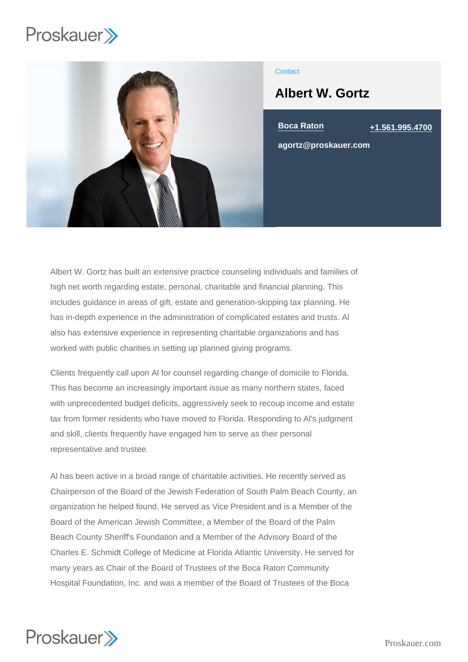

## **Contact**

# Albert W. Gortz

Boca Raton [+1.561.995.4700](tel:+1.561.995.4700)

agortz@proskauer.com

Albert W. Gortz has built an extensive practice counseling individuals and families of high net worth regarding estate, personal, charitable and financial planning. This includes guidance in areas of gift, estate and generation-skipping tax planning. He has in-depth experience in the administration of complicated estates and trusts. Al also has extensive experience in representing charitable organizations and has worked with public charities in setting up planned giving programs.

Clients frequently call upon Al for counsel regarding change of domicile to Florida. This has become an increasingly important issue as many northern states, faced with unprecedented budget deficits, aggressively seek to recoup income and estate tax from former residents who have moved to Florida. Responding to Al's judgment and skill, clients frequently have engaged him to serve as their personal representative and trustee.

Al has been active in a broad range of charitable activities. He recently served as Chairperson of the Board of the Jewish Federation of South Palm Beach County, an organization he helped found. He served as Vice President and is a Member of the Board of the American Jewish Committee, a Member of the Board of the Palm Beach County Sheriff's Foundation and a Member of the Advisory Board of the Charles E. Schmidt College of Medicine at Florida Atlantic University. He served for many years as Chair of the Board of Trustees of the Boca Raton Community Hospital Foundation, Inc. and was a member of the Board of Trustees of the Boca